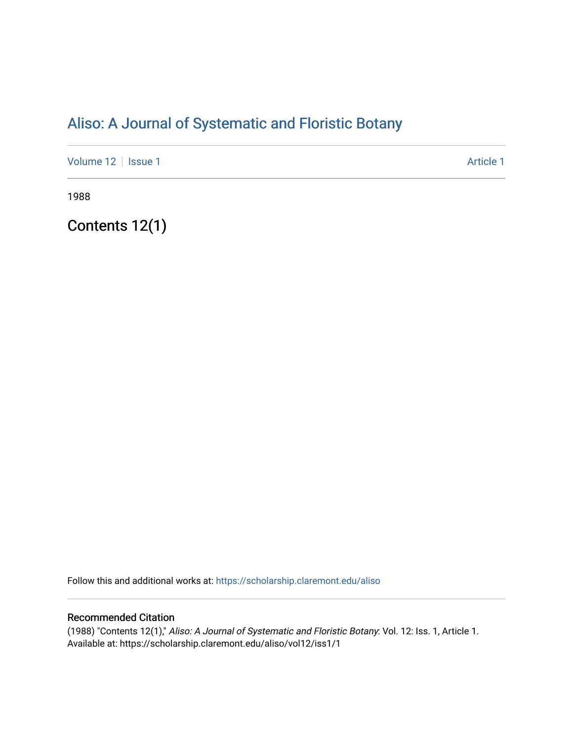# [Aliso: A Journal of Systematic and Floristic Botany](https://scholarship.claremont.edu/aliso)

[Volume 12](https://scholarship.claremont.edu/aliso/vol12) | [Issue 1](https://scholarship.claremont.edu/aliso/vol12/iss1) Article 1

1988

Contents 12(1)

Follow this and additional works at: [https://scholarship.claremont.edu/aliso](https://scholarship.claremont.edu/aliso?utm_source=scholarship.claremont.edu%2Faliso%2Fvol12%2Fiss1%2F1&utm_medium=PDF&utm_campaign=PDFCoverPages) 

# Recommended Citation

(1988) "Contents 12(1)," Aliso: A Journal of Systematic and Floristic Botany: Vol. 12: Iss. 1, Article 1. Available at: https://scholarship.claremont.edu/aliso/vol12/iss1/1